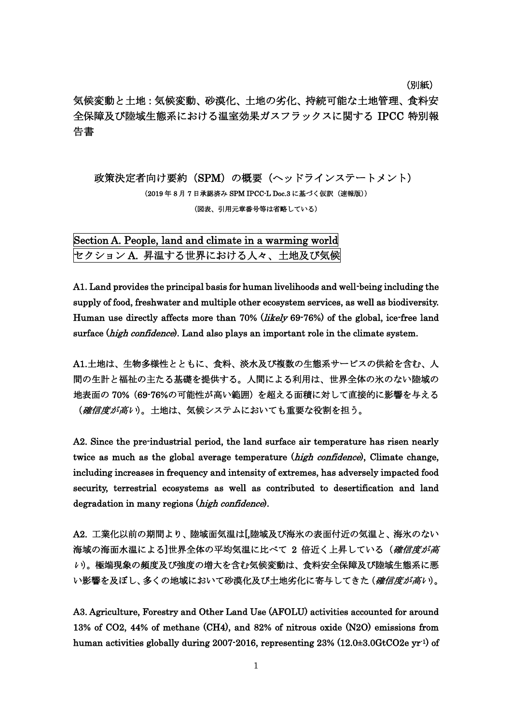(別紙)

気候変動と土地:気候変動、砂漠化、土地の劣化、持続可能な土地管理、食料安 全保障及び陸域生態系における温室効果ガスフラックスに関する IPCC 特別報 告書

政策決定者向け要約(SPM)の概要(ヘッドラインステートメント) (2019 年 8 月 7 日承認済み SPM IPCC-L Doc.3 に基づく仮訳(速報版)) (図表、引用元章番号等は省略している)

## Section A. People, land and climate in a warming world セクション A. 昇温する世界における人々、土地及び気候

A1. Land provides the principal basis for human livelihoods and well-being including the supply of food, freshwater and multiple other ecosystem services, as well as biodiversity. Human use directly affects more than 70% (*likely* 69-76%) of the global, ice-free land surface (*high confidence*). Land also plays an important role in the climate system.

A1.土地は、生物多様性とともに、食料、淡水及び複数の生態系サービスの供給を含む、人 間の生計と福祉の主たる基礎を提供する。人間による利用は、世界全体の氷のない陸域の 地表面の 70%(69-76%の可能性が高い範囲)を超える面積に対して直接的に影響を与える (確信度が高い)。土地は、気候システムにおいても重要な役割を担う。

A2. Since the pre-industrial period, the land surface air temperature has risen nearly twice as much as the global average temperature (*high confidence*), Climate change, including increases in frequency and intensity of extremes, has adversely impacted food security, terrestrial ecosystems as well as contributed to desertification and land degradation in many regions (high confidence).

A2. 工業化以前の期間より、陸域面気温は[,陸域及び海氷の表面付近の気温と、海氷のない 海域の海面水温による]世界全体の平均気温に比べて2倍近く上昇している(確信度が高 <sup>い</sup>)。極端現象の頻度及び強度の増大を含む気候変動は、食料安全保障及び陸域生態系に悪 い影響を及ぼし、多くの地域において砂漠化及び土地劣化に寄与してきた(確信度が高い)。

A3. Agriculture, Forestry and Other Land Use (AFOLU) activities accounted for around 13% of CO2, 44% of methane (CH4), and 82% of nitrous oxide (N2O) emissions from human activities globally during 2007-2016, representing 23% (12.0±3.0GtCO2e yr-1) of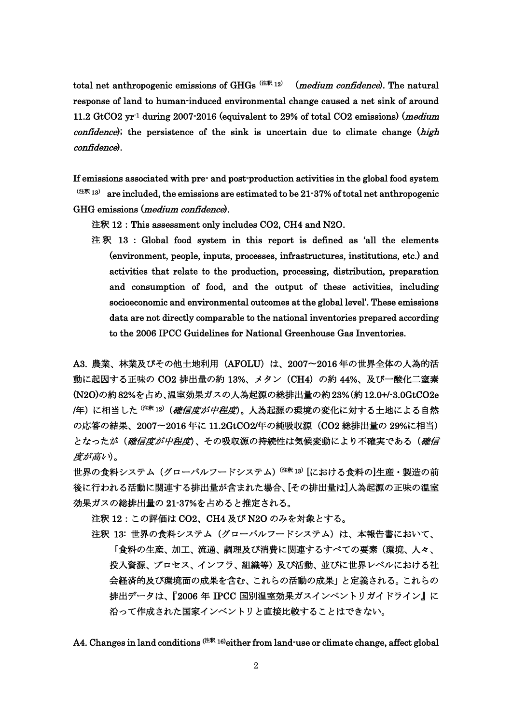total net anthropogenic emissions of GHGs<sup> $(2*)$ </sup> (*medium confidence*). The natural response of land to human-induced environmental change caused a net sink of around 11.2 GtCO2  $yr<sup>1</sup>$  during 2007-2016 (equivalent to 29% of total CO2 emissions) (*medium confidence*); the persistence of the sink is uncertain due to climate change  $(high)$ confidence).

If emissions associated with pre- and post-production activities in the global food system  $(1+8+13)$  are included, the emissions are estimated to be 21-37% of total net anthropogenic GHG emissions (*medium confidence*).

注釈 12: This assessment only includes CO2, CH4 and N2O.

 注 釈 13 : Global food system in this report is defined as 'all the elements (environment, people, inputs, processes, infrastructures, institutions, etc.) and activities that relate to the production, processing, distribution, preparation and consumption of food, and the output of these activities, including socioeconomic and environmental outcomes at the global level'. These emissions data are not directly comparable to the national inventories prepared according to the 2006 IPCC Guidelines for National Greenhouse Gas Inventories.

A3. 農業、林業及びその他土地利用 (AFOLU) は、2007~2016年の世界全体の人為的活 動に起因する正味の CO2 排出量の約 13%、メタン (CH4) の約 44%、及び一酸化二窒素 (N2O)の約82%を占め、温室効果ガスの人為起源の総排出量の約23%(約12.0+/-3.0GtCO2e /年)に相当した<sup>(注釈 12)</sup>(確信度が中程度)。人為起源の環境の変化に対する土地による自然 の応答の結果、2007〜2016 年に 11.2GtCO2/年の純吸収源(CO2 総排出量の 29%に相当) となったが(確信度が中程度)、その吸収源の持続性は気候変動により不確実である(確信 度が高い)。

世界の食料システム (グローバルフードシステム)<sup>(注釈 13)</sup>[における食料の]生産・製造の前 後に行われる活動に関連する排出量が含まれた場合、[その排出量は]人為起源の正味の温室 効果ガスの総排出量の 21-37%を占めると推定される。

注釈 12:この評価は CO2、CH4 及び N2O のみを対象とする。

注釈 13:世界の食料システム(グローバルフードシステム)は、本報告書において、 「食料の生産、加工、流通、調理及び消費に関連するすべての要素(環境、人々、 投入資源、プロセス、インフラ、組織等)及び活動、並びに世界レベルにおける社 会経済的及び環境面の成果を含む、これらの活動の成果」と定義される。これらの 排出データは、『2006 年 IPCC 国別温室効果ガスインベントリガイドライン』に 沿って作成された国家インベントリと直接比較することはできない。

A4. Changes in land conditions  $(2 \cdot \pi)$  16) either from land-use or climate change, affect global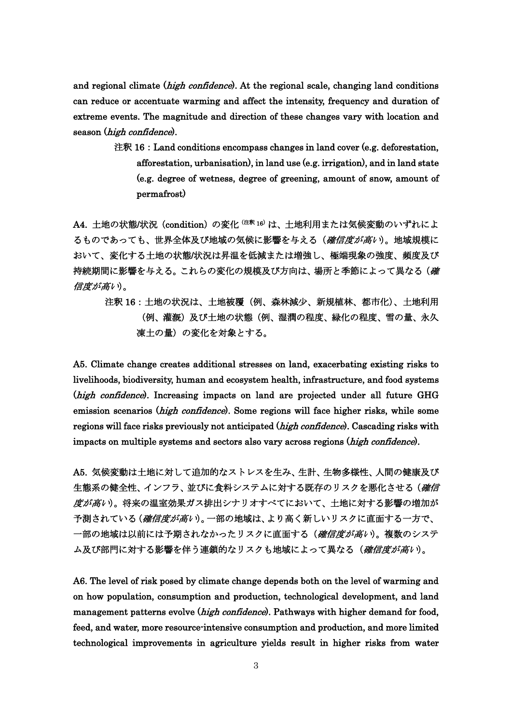and regional climate  $(high \text{ confidence})$ . At the regional scale, changing land conditions can reduce or accentuate warming and affect the intensity, frequency and duration of extreme events. The magnitude and direction of these changes vary with location and season (high confidence).

> 注釈 16: Land conditions encompass changes in land cover (e.g. deforestation, afforestation, urbanisation), in land use (e.g. irrigation), and in land state (e.g. degree of wetness, degree of greening, amount of snow, amount of permafrost)

A4. 土地の状態/状況 (condition)の変化 (注釈 16)は、土地利用または気候変動のいずれによ るものであっても、世界全体及び地域の気候に影響を与える(確信度が高い)。地域規模に おいて、変化する土地の状態/状況は昇温を低減または増強し、極端現象の強度、頻度及び 持続期間に影響を与える。これらの変化の規模及び方向は、場所と季節によって異なる(確 信度が高い)。

注釈 16:土地の状況は、土地被覆(例、森林減少、新規植林、都市化)、土地利用 (例、灌漑)及び土地の状態(例、湿潤の程度、緑化の程度、雪の量、永久 凍土の量)の変化を対象とする。

A5. Climate change creates additional stresses on land, exacerbating existing risks to livelihoods, biodiversity, human and ecosystem health, infrastructure, and food systems (high confidence). Increasing impacts on land are projected under all future GHG emission scenarios (high confidence). Some regions will face higher risks, while some regions will face risks previously not anticipated (high confidence). Cascading risks with impacts on multiple systems and sectors also vary across regions (high confidence).

A5. 気候変動は土地に対して追加的なストレスを生み、生計、生物多様性、人間の健康及び 生熊系の健全性、インフラ、並びに食料システムに対する既存のリスクを悪化させる (*確信* 度が高い)。将来の温室効果ガス排出シナリオすべてにおいて、土地に対する影響の増加が 予測されている(確信度が高い)。一部の地域は、より高く新しいリスクに直面する一方で、 一部の地域は以前には予期されなかったリスクに直面する (*確信度が高い*)。複数のシステ ム及び部門に対する影響を伴う連鎖的なリスクも地域によって異なる(確信度が高い)。

A6. The level of risk posed by climate change depends both on the level of warming and on how population, consumption and production, technological development, and land management patterns evolve (high confidence). Pathways with higher demand for food, feed, and water, more resource-intensive consumption and production, and more limited technological improvements in agriculture yields result in higher risks from water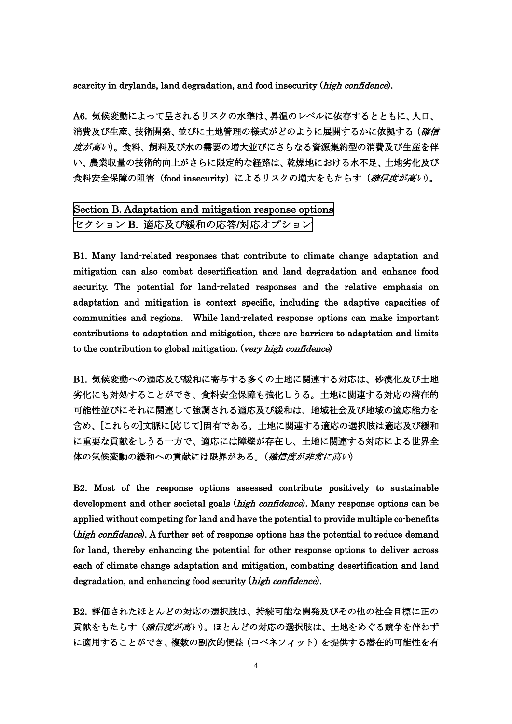scarcity in drylands, land degradation, and food insecurity (high confidence).

A6. 気候変動によって呈されるリスクの水準は、昇温のレベルに依存するとともに、人口、 消費及び生産、技術開発、並びに土地管理の様式がどのように展開するかに依拠する (*確信* 度が高い)。食料、飼料及び水の需要の増大並びにさらなる資源集約型の消費及び生産を伴 い、農業収量の技術的向上がさらに限定的な経路は、乾燥地における水不足、土地劣化及び 食料安全保障の阻害(food insecurity)によるリスクの増大をもたらす(*確信度が高い*)。

## Section B. Adaptation and mitigation response options セクション B. 適応及び緩和の応答/対応オプション

B1. Many land-related responses that contribute to climate change adaptation and mitigation can also combat desertification and land degradation and enhance food security. The potential for land-related responses and the relative emphasis on adaptation and mitigation is context specific, including the adaptive capacities of communities and regions. While land-related response options can make important contributions to adaptation and mitigation, there are barriers to adaptation and limits to the contribution to global mitigation. (very high confidence)

B1. 気候変動への適応及び緩和に寄与する多くの土地に関連する対応は、砂漠化及び土地 劣化にも対処することができ、食料安全保障も強化しうる。土地に関連する対応の潜在的 可能性並びにそれに関連して強調される適応及び緩和は、地域社会及び地域の適応能力を 含め、[これらの]文脈に[応じて]固有である。土地に関連する適応の選択肢は適応及び緩和 に重要な貢献をしうる一方で、適応には障壁が存在し、土地に関連する対応による世界全 体の気候変動の緩和への貢献には限界がある。(確信度が非常に高い)

B2. Most of the response options assessed contribute positively to sustainable development and other societal goals (*high confidence*). Many response options can be applied without competing for land and have the potential to provide multiple co-benefits (high confidence). A further set of response options has the potential to reduce demand for land, thereby enhancing the potential for other response options to deliver across each of climate change adaptation and mitigation, combating desertification and land degradation, and enhancing food security (*high confidence*).

B2. 評価されたほとんどの対応の選択肢は、持続可能な開発及びその他の社会目標に正の 貢献をもたらす(確信度が高い)。ほとんどの対応の選択肢は、土地をめぐる競争を伴わず に適用することができ、複数の副次的便益(コベネフィット)を提供する潜在的可能性を有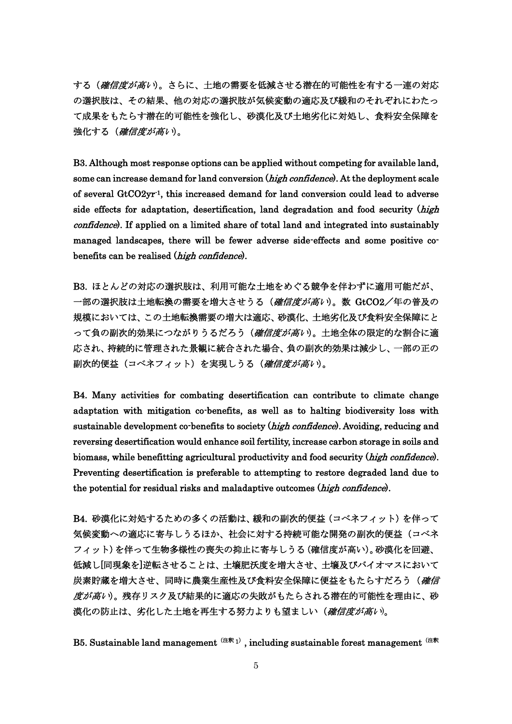する(確信度が高い)。さらに、土地の需要を低減させる潜在的可能性を有する一連の対応 の選択肢は、その結果、他の対応の選択肢が気候変動の適応及び緩和のそれぞれにわたっ て成果をもたらす潜在的可能性を強化し、砂漠化及び土地劣化に対処し、食料安全保障を 強化する(確信度が高い)。

B3. Although most response options can be applied without competing for available land, some can increase demand for land conversion (*high confidence*). At the deployment scale of several GtCO2yr-1, this increased demand for land conversion could lead to adverse side effects for adaptation, desertification, land degradation and food security (high confidence). If applied on a limited share of total land and integrated into sustainably managed landscapes, there will be fewer adverse side-effects and some positive cobenefits can be realised (high confidence).

B3. ほとんどの対応の選択肢は、利用可能な土地をめぐる競争を伴わずに適用可能だが、 一部の選択肢は土地転換の需要を増大させうる(*確信度が高い*)。数 GtCO2/年の普及の 規模においては、この土地転換需要の増大は適応、砂漠化、土地劣化及び食料安全保障にと って負の副次的効果につながりうるだろう(確信度が高い)。土地全体の限定的な割合に適 応され、持続的に管理された景観に統合された場合、負の副次的効果は減少し、一部の正の **副次的便益**(コベネフィット)を実現しうる(確信度が高い)。

B4. Many activities for combating desertification can contribute to climate change adaptation with mitigation co-benefits, as well as to halting biodiversity loss with sustainable development co-benefits to society (high confidence). Avoiding, reducing and reversing desertification would enhance soil fertility, increase carbon storage in soils and biomass, while benefitting agricultural productivity and food security (*high confidence*). Preventing desertification is preferable to attempting to restore degraded land due to the potential for residual risks and maladaptive outcomes (high confidence).

B4. 砂漠化に対処するための多くの活動は、緩和の副次的便益(コベネフィット)を伴って 気候変動への適応に寄与しうるほか、社会に対する持続可能な開発の副次的便益(コベネ フィット)を伴って生物多様性の喪失の抑止に寄与しうる(確信度が高い)。砂漠化を回避、 低減し[同現象を]逆転させることは、土壌肥沃度を増大させ、土壌及びバイオマスにおいて 炭素貯蔵を増大させ、同時に農業生産性及び食料安全保障に便益をもたらすだろう(確信 度が高い)。残存リスク及び結果的に適応の失敗がもたらされる潜在的可能性を理由に、砂 漠化の防止は、劣化した土地を再生する努力よりも望ましい(確信度が高い)。

B5. Sustainable land management  $(2\pi)$ , including sustainable forest management  $(2\pi)$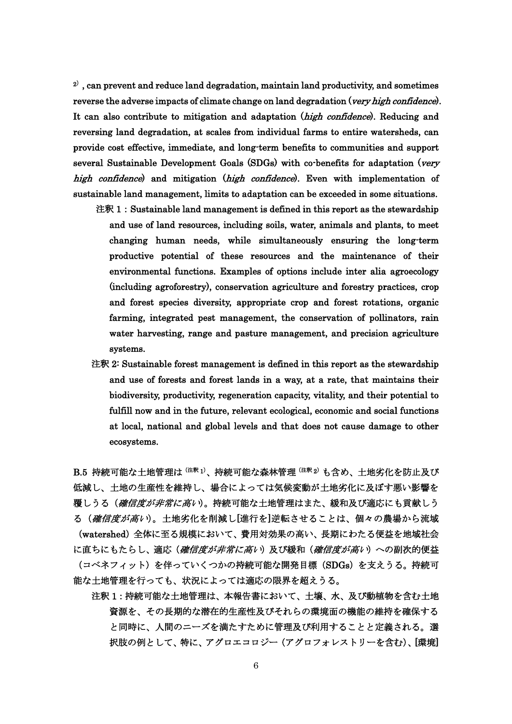$2<sup>2</sup>$ , can prevent and reduce land degradation, maintain land productivity, and sometimes reverse the adverse impacts of climate change on land degradation (very high confidence). It can also contribute to mitigation and adaptation (high confidence). Reducing and reversing land degradation, at scales from individual farms to entire watersheds, can provide cost effective, immediate, and long-term benefits to communities and support several Sustainable Development Goals (SDGs) with co-benefits for adaptation (very high confidence) and mitigation (high confidence). Even with implementation of sustainable land management, limits to adaptation can be exceeded in some situations.

- 注釈 1: Sustainable land management is defined in this report as the stewardship and use of land resources, including soils, water, animals and plants, to meet changing human needs, while simultaneously ensuring the long-term productive potential of these resources and the maintenance of their environmental functions. Examples of options include inter alia agroecology (including agroforestry), conservation agriculture and forestry practices, crop and forest species diversity, appropriate crop and forest rotations, organic farming, integrated pest management, the conservation of pollinators, rain water harvesting, range and pasture management, and precision agriculture systems.
- 注釈 2: Sustainable forest management is defined in this report as the stewardship and use of forests and forest lands in a way, at a rate, that maintains their biodiversity, productivity, regeneration capacity, vitality, and their potential to fulfill now and in the future, relevant ecological, economic and social functions at local, national and global levels and that does not cause damage to other ecosystems.

B.5 持続可能な土地管理は<sup>(注釈1)</sup>、持続可能な森林管理<sup>(注釈2)</sup>も含め、土地劣化を防止及び 低減し、土地の生産性を維持し、場合によっては気候変動が土地劣化に及ぼす悪い影響を 覆しうる(確信度が非常に高い)。持続可能な土地管理はまた、緩和及び適応にも貢献しう る(確信度が高い)。土地劣化を削減し[進行を]逆転させることは、個々の農場から流域 (watershed)全体に至る規模において、費用対効果の高い、長期にわたる便益を地域社会 に直ちにもたらし、適応(確信度が非常に高い)及び緩和(確信度が高い)への副次的便益 (コベネフィット)を伴っていくつかの持続可能な開発目標(SDGs)を支えうる。持続可 能な土地管理を行っても、状況によっては適応の限界を超えうる。

 注釈 1:持続可能な土地管理は、本報告書において、土壌、水、及び動植物を含む土地 資源を、その長期的な潜在的生産性及びそれらの環境面の機能の維持を確保する と同時に、人間のニーズを満たすために管理及び利用することと定義される。選 択肢の例として、特に、アグロエコロジー(アグロフォレストリーを含む)、[環境]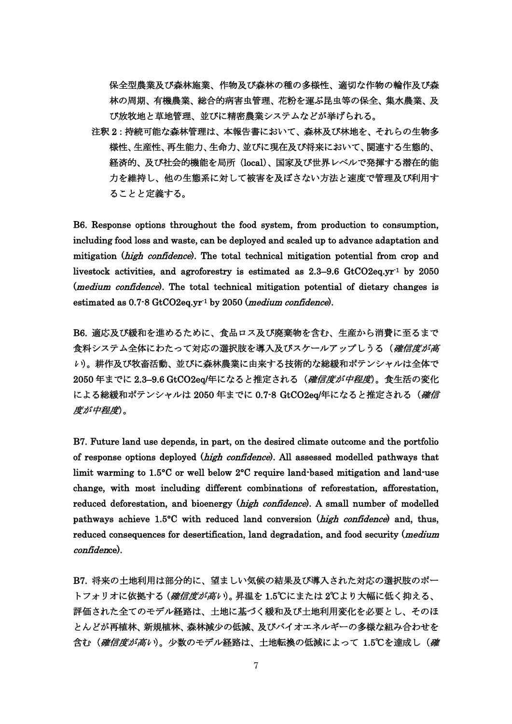保全型農業及び森林施業、作物及び森林の種の多様性、適切な作物の輪作及び森 林の周期、有機農業、総合的病害虫管理、花粉を運ぶ昆虫等の保全、集水農業、及 び放牧地と草地管理、並びに精密農業システムなどが挙げられる。

 注釈 2:持続可能な森林管理は、本報告書において、森林及び林地を、それらの生物多 様性、生産性、再生能力、生命力、並びに現在及び将来において、関連する生態的、 経済的、及び社会的機能を局所(local)、国家及び世界レベルで発揮する潜在的能 力を維持し、他の生態系に対して被害を及ぼさない方法と速度で管理及び利用す ることと定義する。

B6. Response options throughout the food system, from production to consumption, including food loss and waste, can be deployed and scaled up to advance adaptation and mitigation (high confidence). The total technical mitigation potential from crop and livestock activities, and agroforestry is estimated as 2.3–9.6 GtCO2eq.yr<sup>-1</sup> by 2050 (*medium confidence*). The total technical mitigation potential of dietary changes is estimated as  $0.7 - 8$  GtCO2eq.yr<sup>-1</sup> by 2050 (*medium confidence*).

B6. 適応及び緩和を進めるために、食品ロス及び廃棄物を含む、生産から消費に至るまで 食料システム全体にわたって対応の選択肢を導入及びスケールアップしうる(確信度が高 <sup>い</sup>)。耕作及び牧畜活動、並びに森林農業に由来する技術的な総緩和ポテンシャルは全体で 2050年までに 2.3-9.6 GtCO2eq/年になると推定される(確信度が中程度)。食生活の変化 による総緩和ポテンシャルは 2050 年までに 0.7-8 GtCO2eq/年になると推定される(確信 度が中程度)。

B7. Future land use depends, in part, on the desired climate outcome and the portfolio of response options deployed (high confidence). All assessed modelled pathways that limit warming to 1.5°C or well below 2°C require land-based mitigation and land-use change, with most including different combinations of reforestation, afforestation, reduced deforestation, and bioenergy (*high confidence*). A small number of modelled pathways achieve 1.5°C with reduced land conversion (high confidence) and, thus, reduced consequences for desertification, land degradation, and food security (*medium* confidence).

B7. 将来の土地利用は部分的に、望ましい気候の結果及び導入された対応の選択肢のポー トフォリオに依拠する(*確信度が高い*)。昇温を 1.5℃にまたは 2℃より大幅に低く抑える、 評価された全てのモデル経路は、土地に基づく緩和及び土地利用変化を必要とし、そのほ とんどが再植林、新規植林、森林減少の低減、及びバイオエネルギーの多様な組み合わせを 含む(確信度が高い)。少数のモデル経路は、土地転換の低減によって 1.5℃を達成し(確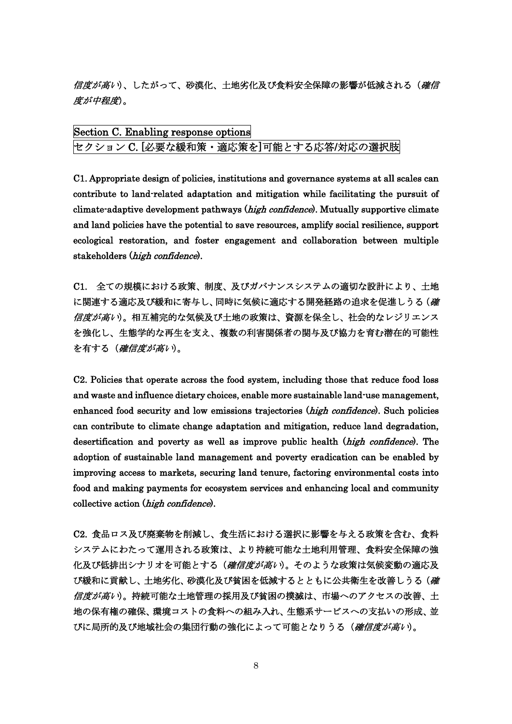信度が高い)、したがって、砂漠化、土地劣化及び食料安全保障の影響が低減される(確信 度が中程度)。

| Section C. Enabling response options |  |  |  |
|--------------------------------------|--|--|--|
| セクション C. [必要な緩和策・適応策を]可能とする応答/対応の選択肢 |  |  |  |

C1. Appropriate design of policies, institutions and governance systems at all scales can contribute to land-related adaptation and mitigation while facilitating the pursuit of climate-adaptive development pathways (*high confidence*). Mutually supportive climate and land policies have the potential to save resources, amplify social resilience, support ecological restoration, and foster engagement and collaboration between multiple stakeholders (high confidence).

C1. 全ての規模における政策、制度、及びガバナンスシステムの適切な設計により、土地 に関連する適応及び緩和に寄与し、同時に気候に適応する開発経路の追求を促進しうる(確 信度が高い)。相互補完的な気候及び土地の政策は、資源を保全し、社会的なレジリエンス を強化し、生態学的な再生を支え、複数の利害関係者の関与及び協力を育む潜在的可能性 を有する(確信度が高い)。

C2. Policies that operate across the food system, including those that reduce food loss and waste and influence dietary choices, enable more sustainable land-use management, enhanced food security and low emissions trajectories (high confidence). Such policies can contribute to climate change adaptation and mitigation, reduce land degradation, desertification and poverty as well as improve public health (*high confidence*). The adoption of sustainable land management and poverty eradication can be enabled by improving access to markets, securing land tenure, factoring environmental costs into food and making payments for ecosystem services and enhancing local and community collective action (high confidence).

C2. 食品ロス及び廃棄物を削減し、食生活における選択に影響を与える政策を含む、食料 システムにわたって運用される政策は、より持続可能な土地利用管理、食料安全保障の強 化及び低排出シナリオを可能とする(確信度が高い)。そのような政策は気候変動の適応及 び緩和に貢献し、土地劣化、砂漠化及び貧困を低減するとともに公共衛生を改善しうる(確 信度が高い)。持続可能な土地管理の採用及び貧困の撲滅は、市場へのアクセスの改善、土 地の保有権の確保、環境コストの食料への組み入れ、生態系サービスへの支払いの形成、並 びに局所的及び地域社会の集団行動の強化によって可能となりうる(確信度が高い)。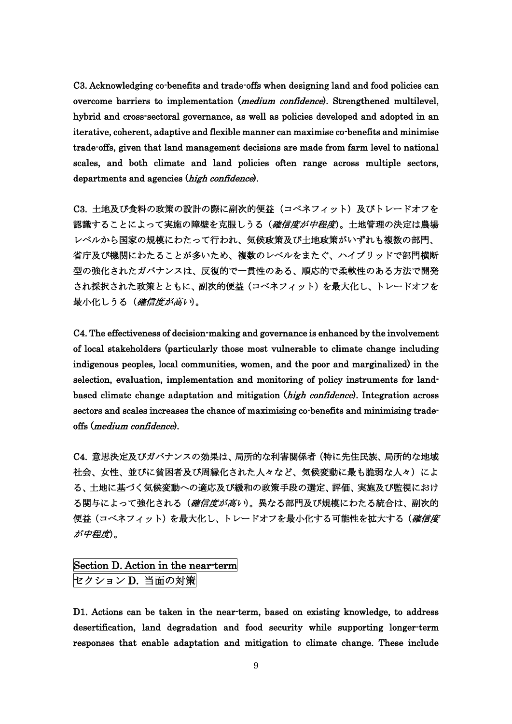C3. Acknowledging co-benefits and trade-offs when designing land and food policies can overcome barriers to implementation (*medium confidence*). Strengthened multilevel, hybrid and cross-sectoral governance, as well as policies developed and adopted in an iterative, coherent, adaptive and flexible manner can maximise co-benefits and minimise trade-offs, given that land management decisions are made from farm level to national scales, and both climate and land policies often range across multiple sectors, departments and agencies (high confidence).

C3. 土地及び食料の政策の設計の際に副次的便益 (コベネフィット)及びトレードオフを 認識することによって実施の障壁を克服しうる(確信度が中程度)。土地管理の決定は農場 レベルから国家の規模にわたって行われ、気候政策及び土地政策がいずれも複数の部門、 省庁及び機関にわたることが多いため、複数のレベルをまたぐ、ハイブリッドで部門横断 型の強化されたガバナンスは、反復的で一貫性のある、順応的で柔軟性のある方法で開発 され採択された政策とともに、副次的便益(コベネフィット)を最大化し、トレードオフを 最小化しうる(確信度が高い)。

C4. The effectiveness of decision-making and governance is enhanced by the involvement of local stakeholders (particularly those most vulnerable to climate change including indigenous peoples, local communities, women, and the poor and marginalized) in the selection, evaluation, implementation and monitoring of policy instruments for landbased climate change adaptation and mitigation (*high confidence*). Integration across sectors and scales increases the chance of maximising co-benefits and minimising tradeoffs (medium confidence).

C4. 意思決定及びガバナンスの効果は、局所的な利害関係者(特に先住民族、局所的な地域 社会、女性、並びに貧困者及び周縁化された人々など、気候変動に最も脆弱な人々)によ る、土地に基づく気候変動への適応及び緩和の政策手段の選定、評価、実施及び監視におけ る関与によって強化される(確信度が高い)。異なる部門及び規模にわたる統合は、副次的 便益(コベネフィット)を最大化し、トレードオフを最小化する可能性を拡大する(確信度 が中程度)。

## Section D. Action in the near-term セクション D. 当面の対策

D1. Actions can be taken in the near-term, based on existing knowledge, to address desertification, land degradation and food security while supporting longer-term responses that enable adaptation and mitigation to climate change. These include